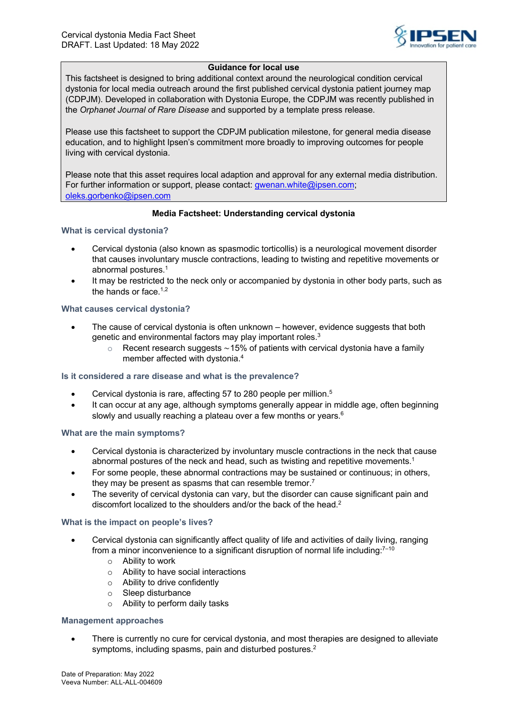

## **Guidance for local use**

This factsheet is designed to bring additional context around the neurological condition cervical dystonia for local media outreach around the first published cervical dystonia patient journey map (CDPJM). Developed in collaboration with Dystonia Europe, the CDPJM was recently published in the *Orphanet Journal of Rare Disease* and supported by a template press release.

Please use this factsheet to support the CDPJM publication milestone, for general media disease education, and to highlight Ipsen's commitment more broadly to improving outcomes for people living with cervical dystonia.

Please note that this asset requires local adaption and approval for any external media distribution. For further information or support, please contact: gwenan.white@ipsen.com; oleks.gorbenko@ipsen.com

## **Media Factsheet: Understanding cervical dystonia**

**What is cervical dystonia?**

- Cervical dystonia (also known as spasmodic torticollis) is a neurological movement disorder that causes involuntary muscle contractions, leading to twisting and repetitive movements or abnormal postures.1
- It may be restricted to the neck only or accompanied by dystonia in other body parts, such as the hands or face. $1,2$

### **What causes cervical dystonia?**

- The cause of cervical dystonia is often unknown however, evidence suggests that both genetic and environmental factors may play important roles.<sup>3</sup>
	- o Recent research suggests ∼15% of patients with cervical dystonia have a family member affected with dystonia.<sup>4</sup>

#### **Is it considered a rare disease and what is the prevalence?**

- Cervical dystonia is rare, affecting 57 to 280 people per million.<sup>5</sup>
- It can occur at any age, although symptoms generally appear in middle age, often beginning slowly and usually reaching a plateau over a few months or years.<sup>6</sup>

#### **What are the main symptoms?**

- Cervical dystonia is characterized by involuntary muscle contractions in the neck that cause abnormal postures of the neck and head, such as twisting and repetitive movements.1
- For some people, these abnormal contractions may be sustained or continuous; in others, they may be present as spasms that can resemble tremor.<sup>7</sup>
- The severity of cervical dystonia can vary, but the disorder can cause significant pain and discomfort localized to the shoulders and/or the back of the head.2

#### **What is the impact on people's lives?**

- Cervical dystonia can significantly affect quality of life and activities of daily living, ranging from a minor inconvenience to a significant disruption of normal life including: $^{7-10}$ 
	- o Ability to work
	- o Ability to have social interactions
	- o Ability to drive confidently
	- o Sleep disturbance
	- o Ability to perform daily tasks

#### **Management approaches**

• There is currently no cure for cervical dystonia, and most therapies are designed to alleviate symptoms, including spasms, pain and disturbed postures.<sup>2</sup>